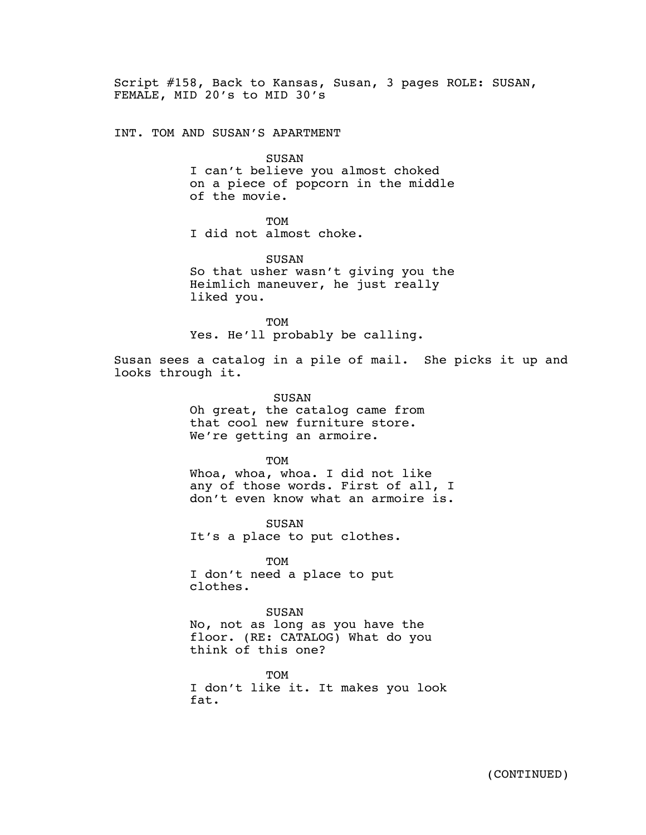Script #158, Back to Kansas, Susan, 3 pages ROLE: SUSAN, FEMALE, MID 20's to MID 30's

INT. TOM AND SUSAN'S APARTMENT

SUSAN

I can't believe you almost choked on a piece of popcorn in the middle of the movie.

TOM

I did not almost choke.

SUSAN So that usher wasn't giving you the Heimlich maneuver, he just really liked you.

TOM Yes. He'll probably be calling.

Susan sees a catalog in a pile of mail. She picks it up and looks through it.

> SUSAN Oh great, the catalog came from that cool new furniture store. We're getting an armoire.

**TOM** Whoa, whoa, whoa. I did not like any of those words. First of all, I don't even know what an armoire is.

SUSAN It's a place to put clothes.

TOM I don't need a place to put clothes.

SUSAN No, not as long as you have the floor. (RE: CATALOG) What do you think of this one?

**TOM** I don't like it. It makes you look fat.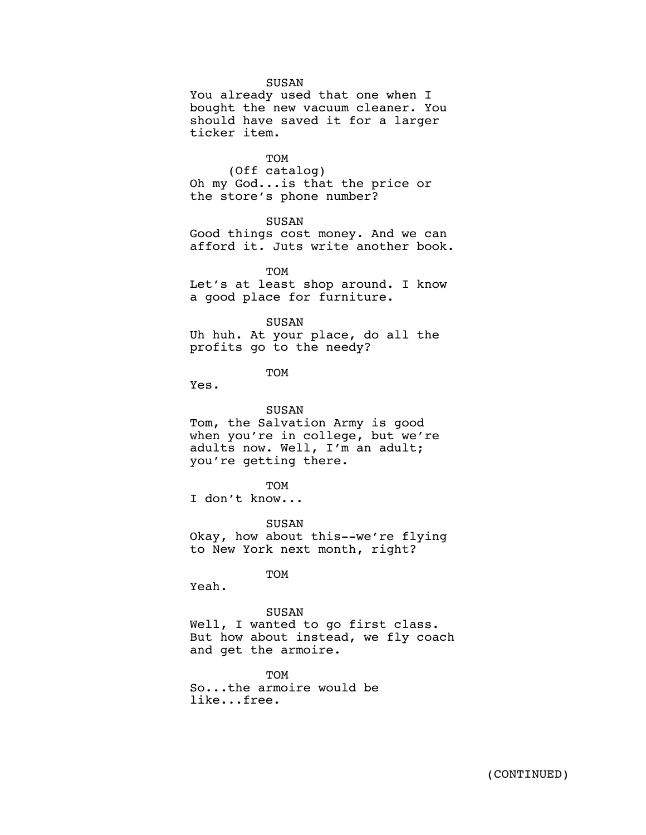## SUSAN

You already used that one when I bought the new vacuum cleaner. You should have saved it for a larger ticker item.

TOM (Off catalog) Oh my God...is that the price or the store's phone number?

SUSAN

Good things cost money. And we can afford it. Juts write another book.

TOM Let's at least shop around. I know a good place for furniture.

SUSAN Uh huh. At your place, do all the profits go to the needy?

TOM

Yes.

SUSAN Tom, the Salvation Army is good when you're in college, but we're adults now. Well, I'm an adult; you're getting there.

**TOM** 

I don't know...

SUSAN Okay, how about this--we're flying to New York next month, right?

TOM

Yeah.

SUSAN Well, I wanted to go first class. But how about instead, we fly coach and get the armoire.

TOM So...the armoire would be like...free.